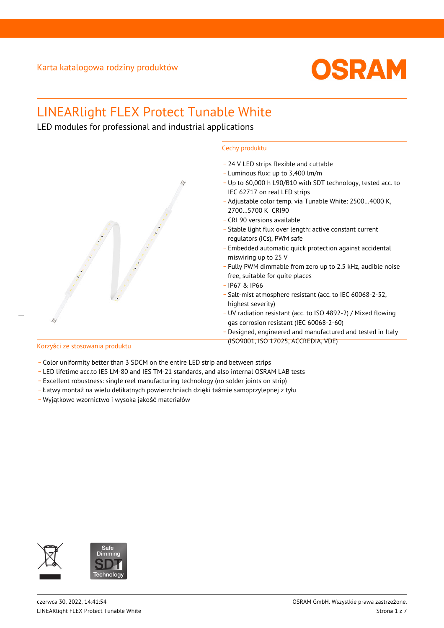

# LINEARlight FLEX Protect Tunable White

LED modules for professional and industrial applications



## Korzyści ze stosowania produktu

- Color uniformity better than 3 SDCM on the entire LED strip and between strips
- \_ LED lifetime acc.to IES LM-80 and IES TM-21 standards, and also internal OSRAM LAB tests
- \_ Excellent robustness: single reel manufacturing technology (no solder joints on strip)
- \_ Łatwy montaż na wielu delikatnych powierzchniach dzięki taśmie samoprzylepnej z tyłu
- \_ Wyjątkowe wzornictwo i wysoka jakość materiałów

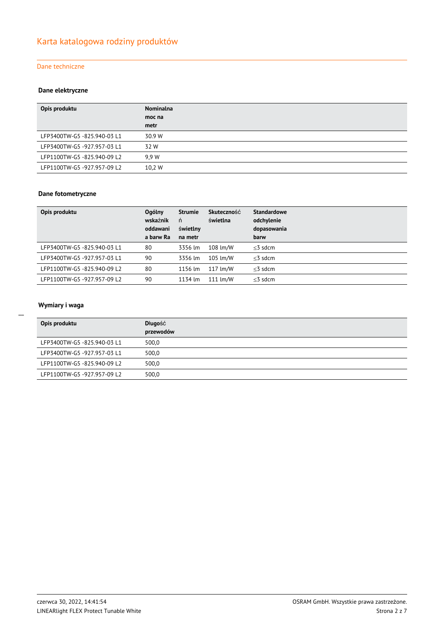## Dane techniczne

#### **Dane elektryczne**

| Opis produktu               | Nominalna |
|-----------------------------|-----------|
|                             | moc na    |
|                             | metr      |
| LFP3400TW-G5 -825.940-03 L1 | 30.9 W    |
| LFP3400TW-G5 -927.957-03 L1 | 32 W      |
| LFP1100TW-G5 -825.940-09 L2 | 9.9 W     |
| LFP1100TW-G5 -927.957-09 L2 | 10.2 W    |

#### **Dane fotometryczne**

| Opis produktu               | <b>Ogólny</b><br>wskaźnik<br>oddawani<br>a barw Ra | <b>Strumie</b><br>ń<br>świetlny<br>na metr | <b>Skuteczność</b><br>świetlna | <b>Standardowe</b><br>odchylenie<br>dopasowania<br>barw |
|-----------------------------|----------------------------------------------------|--------------------------------------------|--------------------------------|---------------------------------------------------------|
| LFP3400TW-G5 -825.940-03 L1 | 80                                                 | 3356 lm                                    | 108 lm/W                       | $<$ 3 sdcm                                              |
| LFP3400TW-G5-927.957-03 L1  | 90                                                 | 3356 lm                                    | 105 lm/W                       | $<$ 3 sdcm                                              |
| LFP1100TW-G5 -825.940-09 L2 | 80                                                 | 1156 lm                                    | 117 lm/W                       | $<$ 3 sdcm                                              |
| LFP1100TW-G5 -927.957-09 L2 | 90                                                 | 1134 lm                                    | 111 $\text{Im}/\text{W}$       | $<$ 3 sdcm                                              |

# **Wymiary i waga**

| Opis produktu               | Długość<br>przewodów |
|-----------------------------|----------------------|
| LFP3400TW-G5 -825.940-03 L1 | 500,0                |
| LFP3400TW-G5-927.957-03 L1  | 500,0                |
| LFP1100TW-G5 -825.940-09 L2 | 500,0                |
| LFP1100TW-G5 -927.957-09 L2 | 500,0                |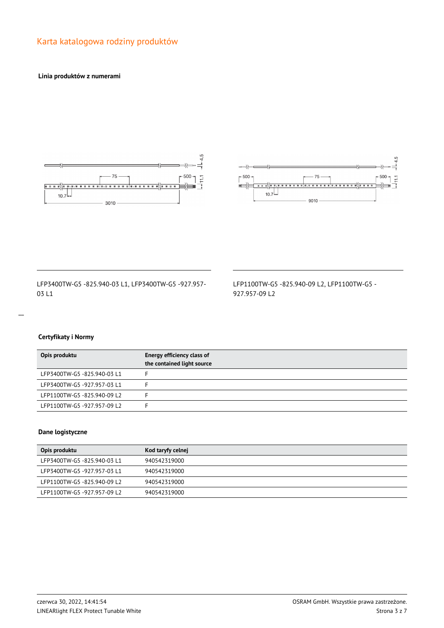# Karta katalogowa rodziny produktów

#### **Linia produktów z numerami**





LFP3400TW-G5 -825.940-03 L1, LFP3400TW-G5 -927.957- 03 L1

LFP1100TW-G5 -825.940-09 L2, LFP1100TW-G5 - 927.957-09 L2

# **Certyfikaty i Normy**

| Opis produktu               | Energy efficiency class of<br>the contained light source |
|-----------------------------|----------------------------------------------------------|
| LFP3400TW-G5 -825.940-03 L1 |                                                          |
| LFP3400TW-G5 -927.957-03 L1 |                                                          |
| LFP1100TW-G5 -825.940-09 L2 |                                                          |
| LFP1100TW-G5-927.957-09L2   |                                                          |

#### **Dane logistyczne**

| Opis produktu               | Kod taryfy celnej |
|-----------------------------|-------------------|
| LFP3400TW-G5-825.940-03 L1  | 940542319000      |
| LFP3400TW-G5 -927.957-03 L1 | 940542319000      |
| LFP1100TW-G5 -825.940-09 L2 | 940542319000      |
| LFP1100TW-G5 -927.957-09 L2 | 940542319000      |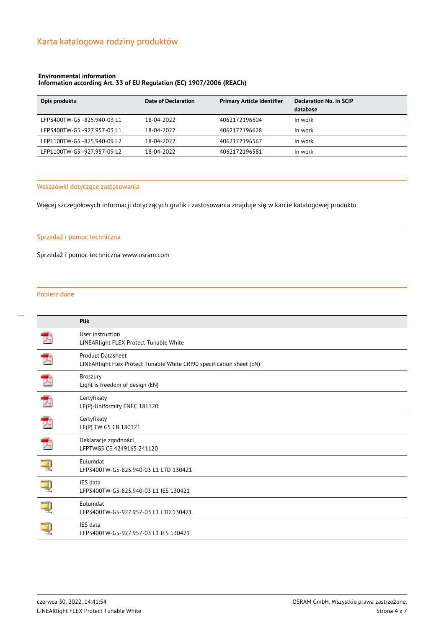#### **Environmental information**

#### **Information according Art. 33 of EU Regulation (EC) 1907/2006 (REACh)**

| Opis produktu              | Date of Declaration | <b>Primary Article Identifier</b> | Declaration No. in SCIP<br>database |
|----------------------------|---------------------|-----------------------------------|-------------------------------------|
| LFP3400TW-G5-825.940-03 L1 | 18-04-2022          | 4062172196604                     | In work                             |
| LFP3400TW-G5-927.957-03L1  | 18-04-2022          | 4062172196628                     | In work                             |
| LFP1100TW-G5-825.940-09 L2 | 18-04-2022          | 4062172196567                     | In work                             |
| LFP1100TW-G5-927.957-09L2  | 18-04-2022          | 4062172196581                     | In work                             |

#### Wskazówki dotyczące zastosowania

Więcej szczegółowych informacji dotyczących grafik i zastosowania znajduje się w karcie katalogowej produktu

#### Sprzedaż i pomoc techniczna

Sprzedaż i pomoc techniczna www.osram.com

#### Pobierz dane

|   | Plik                                                                                       |
|---|--------------------------------------------------------------------------------------------|
|   | User instruction<br>LINEARlight FLEX Protect Tunable White                                 |
|   | Product Datasheet<br>LINEARlight Flex Protect Tunable White CRI90 specification sheet (EN) |
|   | Broszury<br>Light is freedom of design (EN)                                                |
|   | Certyfikaty<br>LF(P)-Uniformity ENEC 181120                                                |
|   | Certyfikaty<br>LF(P) TW G5 CB 180121                                                       |
| ブ | Deklaracje zgodności<br>LFPTWG5 CE 4249165 241120                                          |
|   | Eulumdat<br>LFP3400TW-G5-825.940-03 L1 LTD 130421                                          |
|   | <b>IES</b> data<br>LFP3400TW-G5-825.940-03 L1 IES 130421                                   |
|   | Eulumdat<br>LFP3400TW-G5-927.957-03 L1 LTD 130421                                          |
|   | IES data<br>LFP3400TW-G5-927.957-03 L1 IES 130421                                          |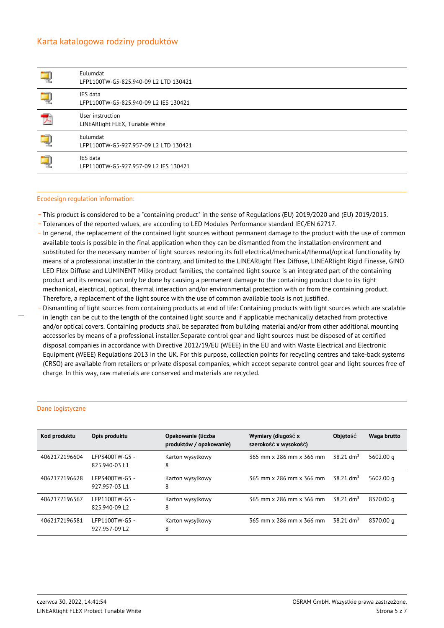# Karta katalogowa rodziny produktów

|   | Eulumdat<br>LFP1100TW-G5-825.940-09 L2 LTD 130421   |
|---|-----------------------------------------------------|
|   | IES data<br>LFP1100TW-G5-825.940-09 L2 IES 130421   |
| ∽ | User instruction<br>LINEARlight FLEX, Tunable White |
|   | Eulumdat<br>LFP1100TW-G5-927.957-09 L2 LTD 130421   |
|   | IES data<br>LFP1100TW-G5-927.957-09 L2 IES 130421   |

#### Ecodesign regulation information:

- \_ This product is considered to be a "containing product" in the sense of Regulations (EU) 2019/2020 and (EU) 2019/2015.
- \_ Tolerances of the reported values, are according to LED Modules Performance standard IEC/EN 62717.
- \_ In general, the replacement of the contained light sources without permanent damage to the product with the use of common available tools is possible in the final application when they can be dismantled from the installation environment and substituted for the necessary number of light sources restoring its full electrical/mechanical/thermal/optical functionality by means of a professional installer.In the contrary, and limited to the LINEARlight Flex Diffuse, LINEARlight Rigid Finesse, GINO LED Flex Diffuse and LUMINENT Milky product families, the contained light source is an integrated part of the containing product and its removal can only be done by causing a permanent damage to the containing product due to its tight mechanical, electrical, optical, thermal interaction and/or environmental protection with or from the containing product. Therefore, a replacement of the light source with the use of common available tools is not justified.
- Dismantling of light sources from containing products at end of life: Containing products with light sources which are scalable in length can be cut to the length of the contained light source and if applicable mechanically detached from protective and/or optical covers. Containing products shall be separated from building material and/or from other additional mounting accessories by means of a professional installer.Separate control gear and light sources must be disposed of at certified disposal companies in accordance with Directive 2012/19/EU (WEEE) in the EU and with Waste Electrical and Electronic Equipment (WEEE) Regulations 2013 in the UK. For this purpose, collection points for recycling centres and take-back systems (CRSO) are available from retailers or private disposal companies, which accept separate control gear and light sources free of charge. In this way, raw materials are conserved and materials are recycled.

| Kod produktu  | Opis produktu                   | Opakowanie (liczba<br>produktów / opakowanie) | Wymiary (długość x<br>szerokość x wysokość) | <b>Objetość</b>         | Waga brutto |
|---------------|---------------------------------|-----------------------------------------------|---------------------------------------------|-------------------------|-------------|
| 4062172196604 | LFP3400TW-G5 -<br>825.940-03 L1 | Karton wysylkowy<br>8                         | 365 mm x 286 mm x 366 mm                    | $38.21$ dm <sup>3</sup> | 5602.00 g   |
| 4062172196628 | LFP3400TW-G5 -<br>927.957-03 L1 | Karton wysylkowy<br>8                         | 365 mm x 286 mm x 366 mm                    | $38.21$ dm <sup>3</sup> | 5602.00 g   |
| 4062172196567 | LFP1100TW-G5 -<br>825.940-09 L2 | Karton wysylkowy<br>8                         | 365 mm x 286 mm x 366 mm                    | $38.21$ dm <sup>3</sup> | 8370.00 g   |
| 4062172196581 | LFP1100TW-G5 -<br>927.957-09 L2 | Karton wysylkowy<br>8                         | 365 mm x 286 mm x 366 mm                    | $38.21$ dm <sup>3</sup> | 8370.00 g   |

#### Dane logistyczne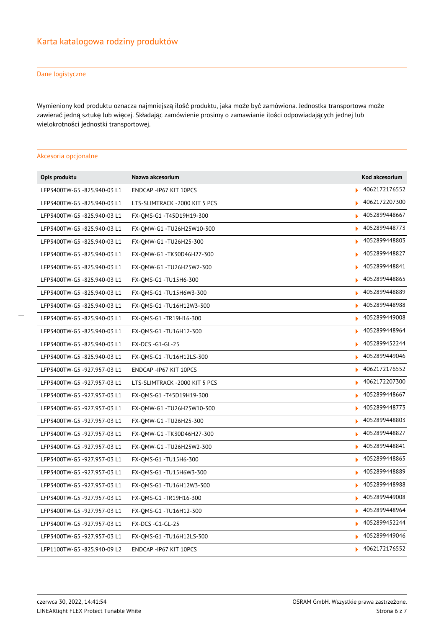### Dane logistyczne

Wymieniony kod produktu oznacza najmniejszą ilość produktu, jaka może być zamówiona. Jednostka transportowa może zawierać jedną sztukę lub więcej. Składając zamówienie prosimy o zamawianie ilości odpowiadających jednej lub wielokrotności jednostki transportowej.

#### Akcesoria opcjonalne

| Opis produktu               | Nazwa akcesorium               | Kod akcesorium     |
|-----------------------------|--------------------------------|--------------------|
| LFP3400TW-G5 -825.940-03 L1 | ENDCAP - IP67 KIT 10PCS        | 4062172176552      |
| LFP3400TW-G5 -825.940-03 L1 | LTS-SLIMTRACK -2000 KIT 5 PCS  | 4062172207300<br>ь |
| LFP3400TW-G5 -825.940-03 L1 | FX-OMS-G1 -T45D19H19-300       | 4052899448667      |
| LFP3400TW-G5 -825.940-03 L1 | FX-OMW-G1-TU26H25W10-300       | 4052899448773      |
| LFP3400TW-G5 -825.940-03 L1 | FX-OMW-G1-TU26H25-300          | 4052899448803      |
| LFP3400TW-G5 -825.940-03 L1 | FX-OMW-G1 -TK30D46H27-300      | 4052899448827      |
| LFP3400TW-G5 -825.940-03 L1 | FX-QMW-G1 -TU26H25W2-300       | 4052899448841      |
| LFP3400TW-G5 -825.940-03 L1 | FX-OMS-G1 -TU15H6-300          | 4052899448865      |
| LFP3400TW-G5 -825.940-03 L1 | FX-OMS-G1-TU15H6W3-300         | 4052899448889      |
| LFP3400TW-G5 -825.940-03 L1 | FX-OMS-G1-TU16H12W3-300        | 4052899448988      |
| LFP3400TW-G5 -825.940-03 L1 | FX-OMS-G1 -TR19H16-300         | 4052899449008      |
| LFP3400TW-G5 -825.940-03 L1 | FX-OMS-G1 -TU16H12-300         | 4052899448964      |
| LFP3400TW-G5 -825.940-03 L1 | FX-DCS -G1-GL-25               | 4052899452244      |
| LFP3400TW-G5 -825.940-03 L1 | FX-OMS-G1 -TU16H12LS-300       | 4052899449046      |
| LFP3400TW-G5 -927.957-03 L1 | ENDCAP - IP67 KIT 10PCS        | 4062172176552<br>ь |
| LFP3400TW-G5 -927.957-03 L1 | LTS-SLIMTRACK - 2000 KIT 5 PCS | 4062172207300<br>ь |
| LFP3400TW-G5 -927.957-03 L1 | FX-QMS-G1 -T45D19H19-300       | 4052899448667<br>ь |
| LFP3400TW-G5 -927.957-03 L1 | FX-OMW-G1 -TU26H25W10-300      | 4052899448773      |
| LFP3400TW-G5 -927.957-03 L1 | FX-OMW-G1-TU26H25-300          | 4052899448803<br>ь |
| LFP3400TW-G5 -927.957-03 L1 | FX-OMW-G1-TK30D46H27-300       | 4052899448827      |
| LFP3400TW-G5 -927.957-03 L1 | FX-OMW-G1 -TU26H25W2-300       | 4052899448841<br>ь |
| LFP3400TW-G5 -927.957-03 L1 | FX-OMS-G1 -TU15H6-300          | 4052899448865      |
| LFP3400TW-G5 -927.957-03 L1 | FX-OMS-G1 -TU15H6W3-300        | 4052899448889<br>ь |
| LFP3400TW-G5 -927.957-03 L1 | FX-OMS-G1 -TU16H12W3-300       | 4052899448988      |
| LFP3400TW-G5 -927.957-03 L1 | FX-OMS-G1 -TR19H16-300         | 4052899449008<br>ь |
| LFP3400TW-G5 -927.957-03 L1 | FX-OMS-G1 -TU16H12-300         | 4052899448964      |
| LFP3400TW-G5 -927.957-03 L1 | FX-DCS -G1-GL-25               | 4052899452244<br>ь |
| LFP3400TW-G5 -927.957-03 L1 | FX-OMS-G1 -TU16H12LS-300       | 4052899449046      |
| LFP1100TW-G5 -825.940-09 L2 | ENDCAP - IP67 KIT 10PCS        | 4062172176552      |